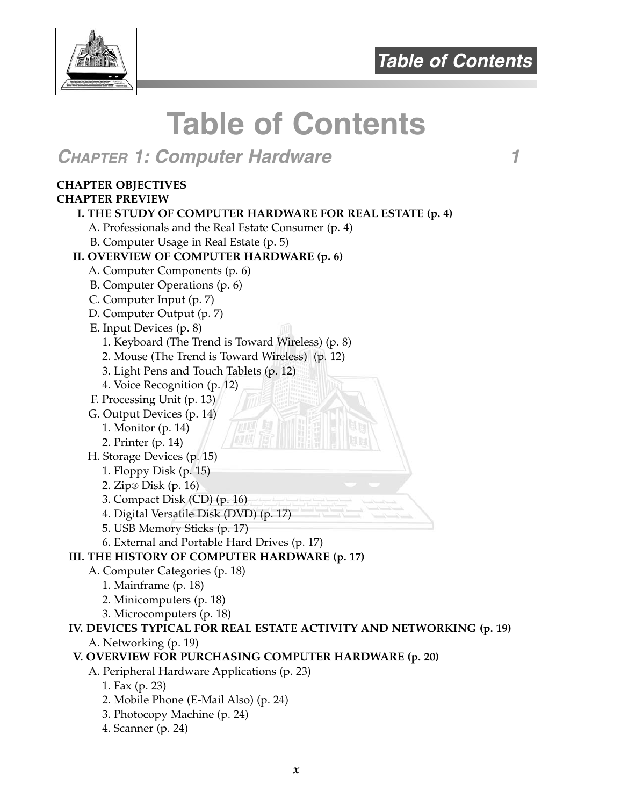



# **CHAPTER 1: Computer Hardware 1**

#### **CHAPTER OBJECTIVES**

#### **CHAPTER PREVIEW**

#### **I. THE STUDY OF COMPUTER HARDWARE FOR REAL ESTATE (p. 4)**

A. Professionals and the Real Estate Consumer (p. 4)

B. Computer Usage in Real Estate (p. 5)

#### **II. OVERVIEW OF COMPUTER HARDWARE (p. 6)**

- A. Computer Components (p. 6)
- B. Computer Operations (p. 6)
- C. Computer Input (p. 7)
- D. Computer Output (p. 7)
- E. Input Devices (p. 8)
	- 1. Keyboard (The Trend is Toward Wireless) (p. 8)
	- 2. Mouse (The Trend is Toward Wireless) (p. 12)
	- 3. Light Pens and Touch Tablets (p. 12)
	- 4. Voice Recognition (p. 12)
- F. Processing Unit (p. 13)
- G. Output Devices (p. 14)
	- 1. Monitor (p. 14)
	- 2. Printer (p. 14)
- H. Storage Devices (p. 15)
	- 1. Floppy Disk (p. 15)
	- 2. Zip® Disk (p. 16)
	- 3. Compact Disk (CD) (p. 16)
	- 4. Digital Versatile Disk (DVD) (p. 17)
	- 5. USB Memory Sticks (p. 17)
	- 6. External and Portable Hard Drives (p. 17)

#### **III. THE HISTORY OF COMPUTER HARDWARE (p. 17)**

- A. Computer Categories (p. 18)
	- 1. Mainframe (p. 18)
	- 2. Minicomputers (p. 18)
	- 3. Microcomputers (p. 18)

#### **IV. DEVICES TYPICAL FOR REAL ESTATE ACTIVITY AND NETWORKING (p. 19)** A. Networking (p. 19)

#### **V. OVERVIEW FOR PURCHASING COMPUTER HARDWARE (p. 20)**

- A. Peripheral Hardware Applications (p. 23)
	- 1. Fax (p. 23)
	- 2. Mobile Phone (E-Mail Also) (p. 24)
	- 3. Photocopy Machine (p. 24)
	- 4. Scanner (p. 24)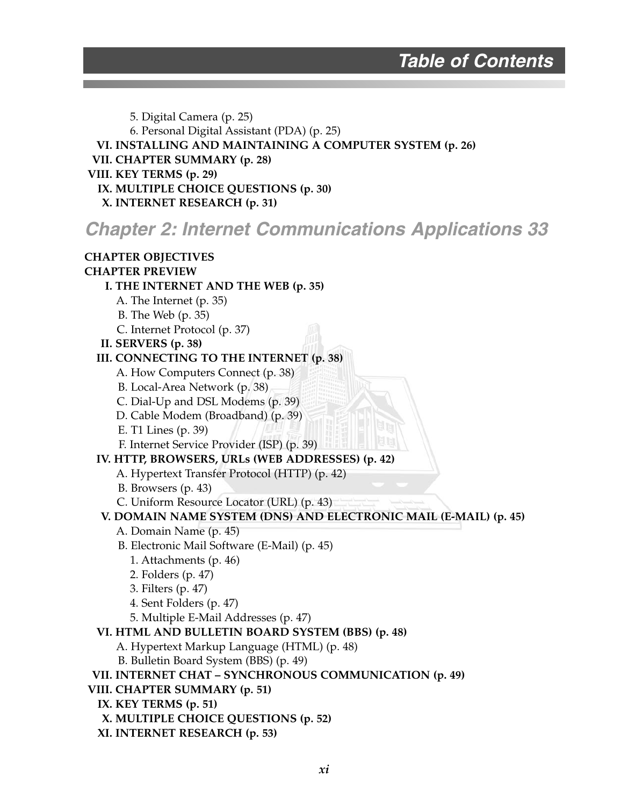5. Digital Camera (p. 25) 6. Personal Digital Assistant (PDA) (p. 25) **VI. INSTALLING AND MAINTAINING A COMPUTER SYSTEM (p. 26) VII. CHAPTER SUMMARY (p. 28) VIII. KEY TERMS (p. 29) IX. MULTIPLE CHOICE QUESTIONS (p. 30) X. INTERNET RESEARCH (p. 31) Chapter 2: Internet Communications Applications 33 CHAPTER OBJECTIVES CHAPTER PREVIEW I. THE INTERNET AND THE WEB (p. 35)** A. The Internet (p. 35) B. The Web (p. 35) C. Internet Protocol (p. 37) **II. SERVERS (p. 38) III. CONNECTING TO THE INTERNET (p. 38)** A. How Computers Connect (p. 38) B. Local-Area Network (p. 38) C. Dial-Up and DSL Modems (p. 39) D. Cable Modem (Broadband) (p. 39) E. T1 Lines (p. 39) F. Internet Service Provider (ISP) (p. 39) **IV. HTTP, BROWSERS, URLs (WEB ADDRESSES) (p. 42)**  A. Hypertext Transfer Protocol (HTTP) (p. 42) B. Browsers (p. 43) C. Uniform Resource Locator (URL) (p. 43) **V. DOMAIN NAME SYSTEM (DNS) AND ELECTRONIC MAIL (E-MAIL) (p. 45)** A. Domain Name (p. 45) B. Electronic Mail Software (E-Mail) (p. 45) 1. Attachments (p. 46) 2. Folders (p. 47) 3. Filters (p. 47) 4. Sent Folders (p. 47) 5. Multiple E-Mail Addresses (p. 47) **VI. HTML AND BULLETIN BOARD SYSTEM (BBS) (p. 48)** A. Hypertext Markup Language (HTML) (p. 48) B. Bulletin Board System (BBS) (p. 49) **VII. INTERNET CHAT – SYNCHRONOUS COMMUNICATION (p. 49) VIII. CHAPTER SUMMARY (p. 51) IX. KEY TERMS (p. 51) X. MULTIPLE CHOICE QUESTIONS (p. 52) XI. INTERNET RESEARCH (p. 53)**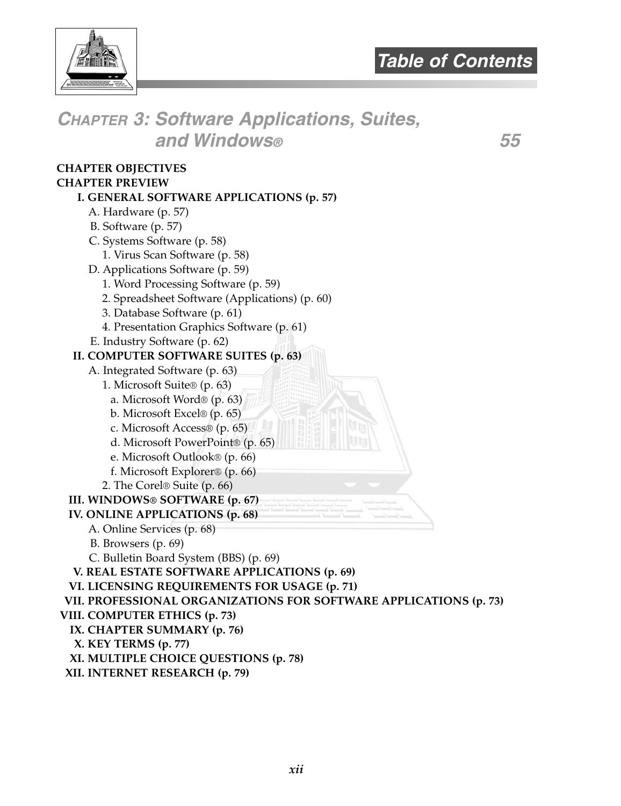

**CHAPTER 3: Software Applications, Suites, and Windows® 55 CHAPTER OBJECTIVES CHAPTER PREVIEW I. GENERAL SOFTWARE APPLICATIONS (p. 57)** A. Hardware (p. 57) B. Software (p. 57) C. Systems Software (p. 58) 1. Virus Scan Software (p. 58) D. Applications Software (p. 59) 1. Word Processing Software (p. 59) 2. Spreadsheet Software (Applications) (p. 60) 3. Database Software (p. 61) 4. Presentation Graphics Software (p. 61) E. Industry Software (p. 62) **II. COMPUTER SOFTWARE SUITES (p. 63)** A. Integrated Software (p. 63) 1. Microsoft Suite® (p. 63) a. Microsoft Word® (p. 63) b. Microsoft Excel® (p. 65) c. Microsoft Access® (p. 65) d. Microsoft PowerPoint® (p. 65) e. Microsoft Outlook® (p. 66) f. Microsoft Explorer® (p. 66) 2. The Corel® Suite (p. 66) **III. WINDOWS® SOFTWARE (p. 67) IV. ONLINE APPLICATIONS (p. 68)** A. Online Services (p. 68) B. Browsers (p. 69) C. Bulletin Board System (BBS) (p. 69) **V. REAL ESTATE SOFTWARE APPLICATIONS (p. 69) VI. LICENSING REQUIREMENTS FOR USAGE (p. 71) VII. PROFESSIONAL ORGANIZATIONS FOR SOFTWARE APPLICATIONS (p. 73) VIII. COMPUTER ETHICS (p. 73) IX. CHAPTER SUMMARY (p. 76) X. KEY TERMS (p. 77) XI. MULTIPLE CHOICE QUESTIONS (p. 78) XII. INTERNET RESEARCH (p. 79)**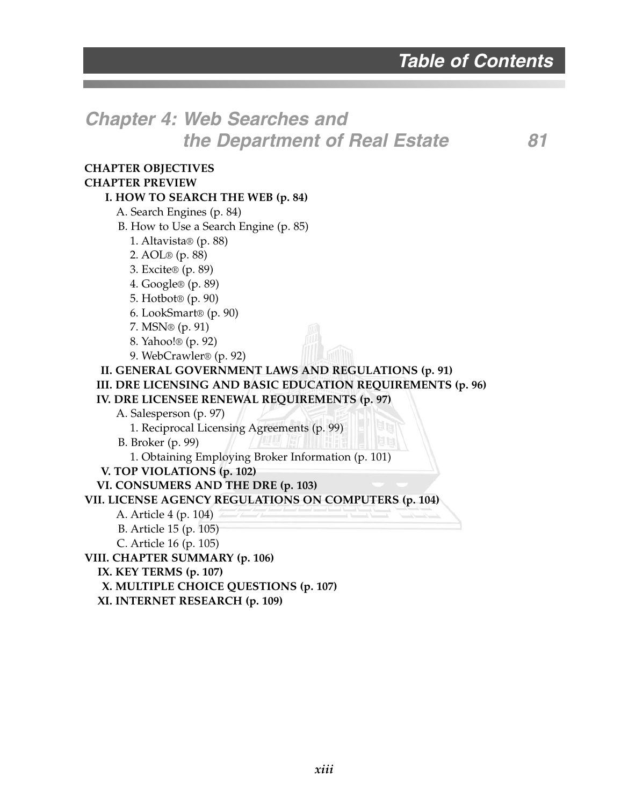# **Chapter 4: Web Searches and the Department of Real Estate 81**

#### **CHAPTER OBJECTIVES CHAPTER PREVIEW I. HOW TO SEARCH THE WEB (p. 84)** A. Search Engines (p. 84)

B. How to Use a Search Engine (p. 85)

1. Altavista® (p. 88)

2. AOL® (p. 88)

- 3. Excite® (p. 89)
- 4. Google® (p. 89)
- 5. Hotbot® (p. 90)
- 6. LookSmart® (p. 90)
- 7. MSN® (p. 91)
- 8. Yahoo!® (p. 92)
- 9. WebCrawler® (p. 92)

#### **II. GENERAL GOVERNMENT LAWS AND REGULATIONS (p. 91) III. DRE LICENSING AND BASIC EDUCATION REQUIREMENTS (p. 96) IV. DRE LICENSEE RENEWAL REQUIREMENTS (p. 97)**

A. Salesperson (p. 97)

1. Reciprocal Licensing Agreements (p. 99)

B. Broker (p. 99)

1. Obtaining Employing Broker Information (p. 101)

**V. TOP VIOLATIONS (p. 102)**

**VI. CONSUMERS AND THE DRE (p. 103)**

**VII. LICENSE AGENCY REGULATIONS ON COMPUTERS (p. 104)**

A. Article 4 (p. 104)

B. Article 15 (p. 105)

C. Article 16 (p. 105)

**VIII. CHAPTER SUMMARY (p. 106)**

**IX. KEY TERMS (p. 107)**

**X. MULTIPLE CHOICE QUESTIONS (p. 107)**

**XI. INTERNET RESEARCH (p. 109)**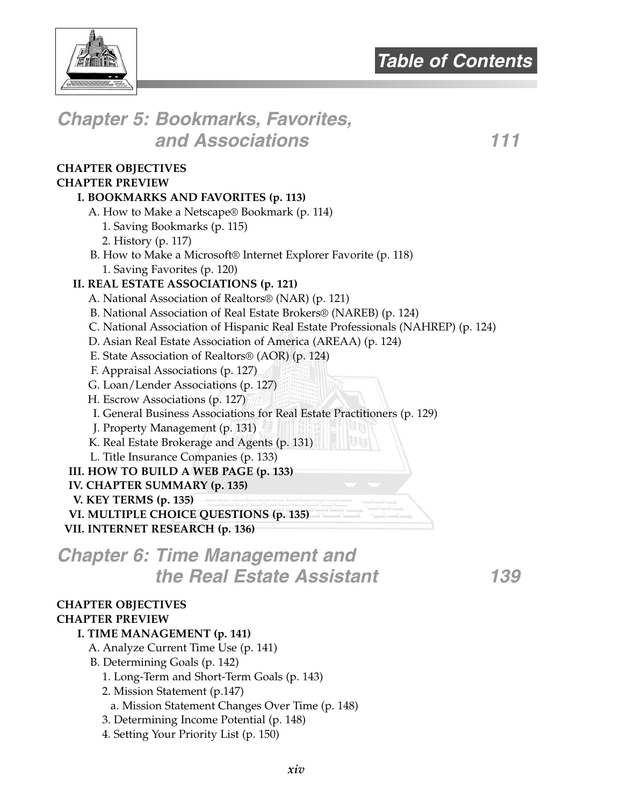

# **Chapter 5: Bookmarks, Favorites, and Associations 111**

#### **CHAPTER OBJECTIVES CHAPTER PREVIEW**

#### **I. BOOKMARKS AND FAVORITES (p. 113)**

A. How to Make a Netscape® Bookmark (p. 114)

- 1. Saving Bookmarks (p. 115)
- 2. History (p. 117)
- B. How to Make a Microsoft® Internet Explorer Favorite (p. 118) 1. Saving Favorites (p. 120)

#### **II. REAL ESTATE ASSOCIATIONS (p. 121)**

- A. National Association of Realtors® (NAR) (p. 121)
- B. National Association of Real Estate Brokers® (NAREB) (p. 124)
- C. National Association of Hispanic Real Estate Professionals (NAHREP) (p. 124)
- D. Asian Real Estate Association of America (AREAA) (p. 124)
- E. State Association of Realtors® (AOR) (p. 124)
- F. Appraisal Associations (p. 127)
- G. Loan/Lender Associations (p. 127)
- H. Escrow Associations (p. 127)
- I. General Business Associations for Real Estate Practitioners (p. 129)
- J. Property Management (p. 131)
- K. Real Estate Brokerage and Agents (p. 131)
- L. Title Insurance Companies (p. 133)

#### **III. HOW TO BUILD A WEB PAGE (p. 133)**

- **IV. CHAPTER SUMMARY (p. 135)**
- **V. KEY TERMS (p. 135)**
- **VI. MULTIPLE CHOICE QUESTIONS (p. 135)**
- **VII. INTERNET RESEARCH (p. 136)**

# **Chapter 6: Time Management and the Real Estate Assistant 139**

### **CHAPTER OBJECTIVES**

#### **CHAPTER PREVIEW**

#### **I. TIME MANAGEMENT (p. 141)**

- A. Analyze Current Time Use (p. 141)
- B. Determining Goals (p. 142)
	- 1. Long-Term and Short-Term Goals (p. 143)
	- 2. Mission Statement (p.147)
	- a. Mission Statement Changes Over Time (p. 148)
	- 3. Determining Income Potential (p. 148)
	- 4. Setting Your Priority List (p. 150)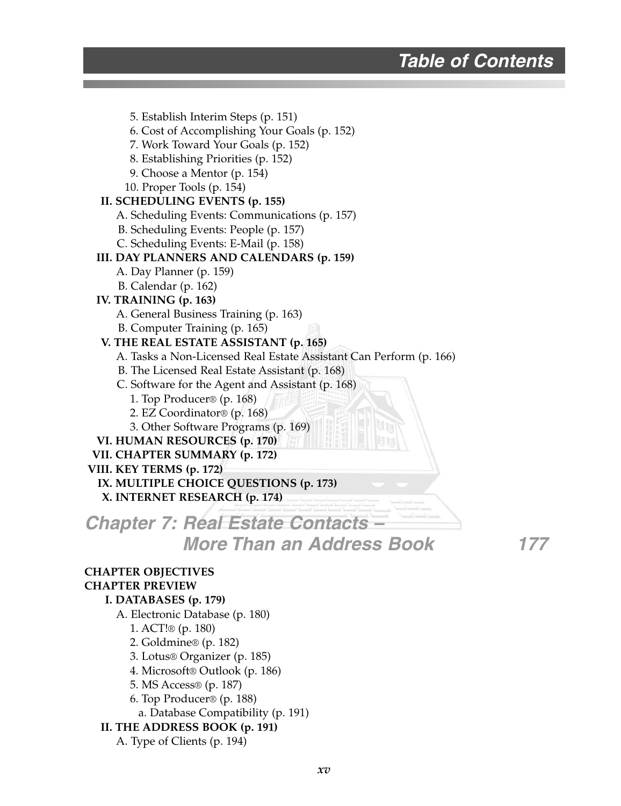5. Establish Interim Steps (p. 151) 6. Cost of Accomplishing Your Goals (p. 152) 7. Work Toward Your Goals (p. 152) 8. Establishing Priorities (p. 152) 9. Choose a Mentor (p. 154) 10. Proper Tools (p. 154) **II. SCHEDULING EVENTS (p. 155)** A. Scheduling Events: Communications (p. 157) B. Scheduling Events: People (p. 157) C. Scheduling Events: E-Mail (p. 158) **III. DAY PLANNERS AND CALENDARS (p. 159)** A. Day Planner (p. 159) B. Calendar (p. 162) **IV. TRAINING (p. 163)** A. General Business Training (p. 163) B. Computer Training (p. 165) **V. THE REAL ESTATE ASSISTANT (p. 165)** A. Tasks a Non-Licensed Real Estate Assistant Can Perform (p. 166) B. The Licensed Real Estate Assistant (p. 168) C. Software for the Agent and Assistant (p. 168) 1. Top Producer® (p. 168) 2. EZ Coordinator® (p. 168) 3. Other Software Programs (p. 169) **VI. HUMAN RESOURCES (p. 170) VII. CHAPTER SUMMARY (p. 172) VIII. KEY TERMS (p. 172) IX. MULTIPLE CHOICE QUESTIONS (p. 173) X. INTERNET RESEARCH (p. 174) Chapter 7: Real Estate Contacts – More Than an Address Book 177 CHAPTER OBJECTIVES CHAPTER PREVIEW I. DATABASES (p. 179)** A. Electronic Database (p. 180) 1. ACT!® (p. 180) 2. Goldmine® (p. 182) 3. Lotus® Organizer (p. 185) 4. Microsoft® Outlook (p. 186) 5. MS Access® (p. 187) 6. Top Producer® (p. 188) a. Database Compatibility (p. 191) **II. THE ADDRESS BOOK (p. 191)** A. Type of Clients (p. 194)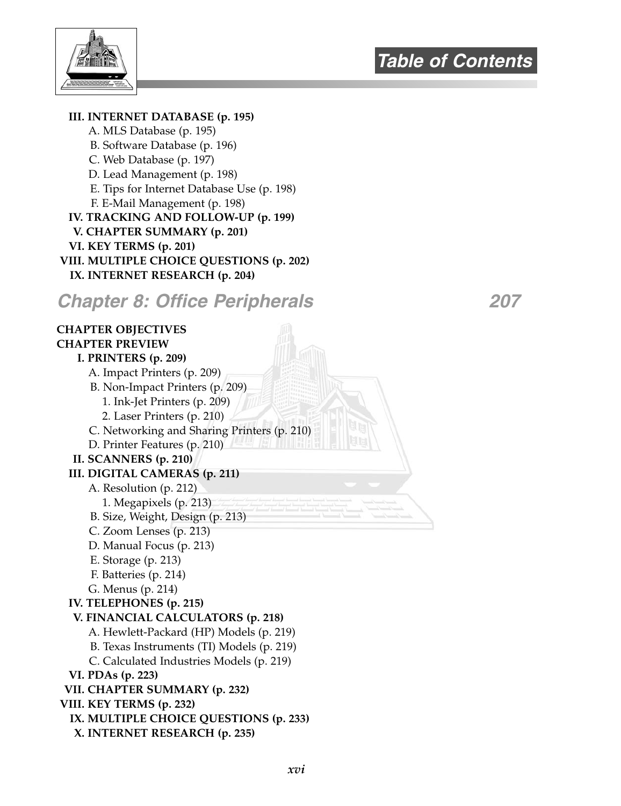

**III. INTERNET DATABASE (p. 195)** A. MLS Database (p. 195) B. Software Database (p. 196) C. Web Database (p. 197) D. Lead Management (p. 198) E. Tips for Internet Database Use (p. 198) F. E-Mail Management (p. 198) **IV. TRACKING AND FOLLOW-UP (p. 199) V. CHAPTER SUMMARY (p. 201) VI. KEY TERMS (p. 201) VIII. MULTIPLE CHOICE QUESTIONS (p. 202) IX. INTERNET RESEARCH (p. 204) Chapter 8: Office Peripherals 207 CHAPTER OBJECTIVES CHAPTER PREVIEW I. PRINTERS (p. 209)** A. Impact Printers (p. 209) B. Non-Impact Printers (p. 209) 1. Ink-Jet Printers (p. 209) 2. Laser Printers (p. 210) C. Networking and Sharing Printers (p. 210) D. Printer Features (p. 210) **II. SCANNERS (p. 210) III. DIGITAL CAMERAS (p. 211)** A. Resolution (p. 212) 1. Megapixels (p. 213) B. Size, Weight, Design (p. 213) C. Zoom Lenses (p. 213) D. Manual Focus (p. 213) E. Storage (p. 213) F. Batteries (p. 214) G. Menus (p. 214) **IV. TELEPHONES (p. 215) V. FINANCIAL CALCULATORS (p. 218)** A. Hewlett-Packard (HP) Models (p. 219) B. Texas Instruments (TI) Models (p. 219) C. Calculated Industries Models (p. 219) **VI. PDAs (p. 223) VII. CHAPTER SUMMARY (p. 232) VIII. KEY TERMS (p. 232) IX. MULTIPLE CHOICE QUESTIONS (p. 233) X. INTERNET RESEARCH (p. 235)**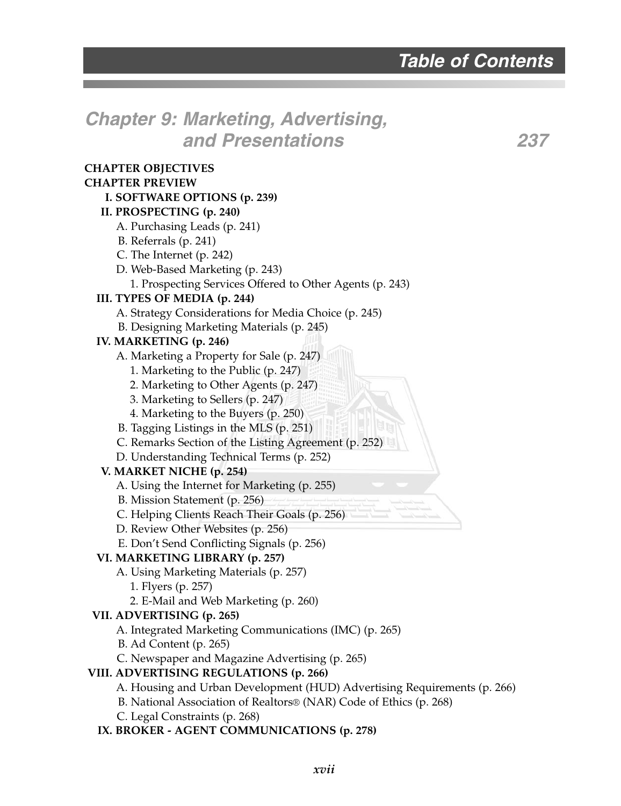# **Chapter 9: Marketing, Advertising, and Presentations 237**

| <b>CHAPTER OBJECTIVES</b>                                                |
|--------------------------------------------------------------------------|
| <b>CHAPTER PREVIEW</b>                                                   |
| I. SOFTWARE OPTIONS (p. 239)                                             |
| II. PROSPECTING (p. 240)                                                 |
| A. Purchasing Leads (p. 241)                                             |
| B. Referrals (p. 241)                                                    |
| C. The Internet (p. 242)                                                 |
| D. Web-Based Marketing (p. 243)                                          |
| 1. Prospecting Services Offered to Other Agents (p. 243)                 |
| III. TYPES OF MEDIA (p. 244)                                             |
| A. Strategy Considerations for Media Choice (p. 245)                     |
| B. Designing Marketing Materials (p. 245)                                |
| IV. MARKETING (p. 246)                                                   |
| A. Marketing a Property for Sale (p. 247)                                |
| 1. Marketing to the Public (p. 247)                                      |
| 2. Marketing to Other Agents (p. 247)                                    |
| 3. Marketing to Sellers (p. 247)                                         |
| 4. Marketing to the Buyers (p. 250)                                      |
| B. Tagging Listings in the MLS (p. 251)                                  |
| C. Remarks Section of the Listing Agreement (p. 252)                     |
| D. Understanding Technical Terms (p. 252)                                |
| V. MARKET NICHE (p. 254)                                                 |
| A. Using the Internet for Marketing (p. 255)                             |
| B. Mission Statement (p. 256)                                            |
| C. Helping Clients Reach Their Goals (p. 256)                            |
| D. Review Other Websites (p. 256)                                        |
| E. Don't Send Conflicting Signals (p. 256)                               |
| VI. MARKETING LIBRARY (p. 257)                                           |
| A. Using Marketing Materials (p. 257)                                    |
| 1. Flyers (p. 257)                                                       |
| 2. E-Mail and Web Marketing (p. 260)                                     |
| VII. ADVERTISING (p. 265)                                                |
| A. Integrated Marketing Communications (IMC) (p. 265)                    |
| B. Ad Content (p. 265)                                                   |
| C. Newspaper and Magazine Advertising (p. 265)                           |
| VIII. ADVERTISING REGULATIONS (p. 266)                                   |
| A. Housing and Urban Development (HUD) Advertising Requirements (p. 266) |
| B. National Association of Realtors® (NAR) Code of Ethics (p. 268)       |
| C. Legal Constraints (p. 268)                                            |
| IX. BROKER - AGENT COMMUNICATIONS (p. 278)                               |
|                                                                          |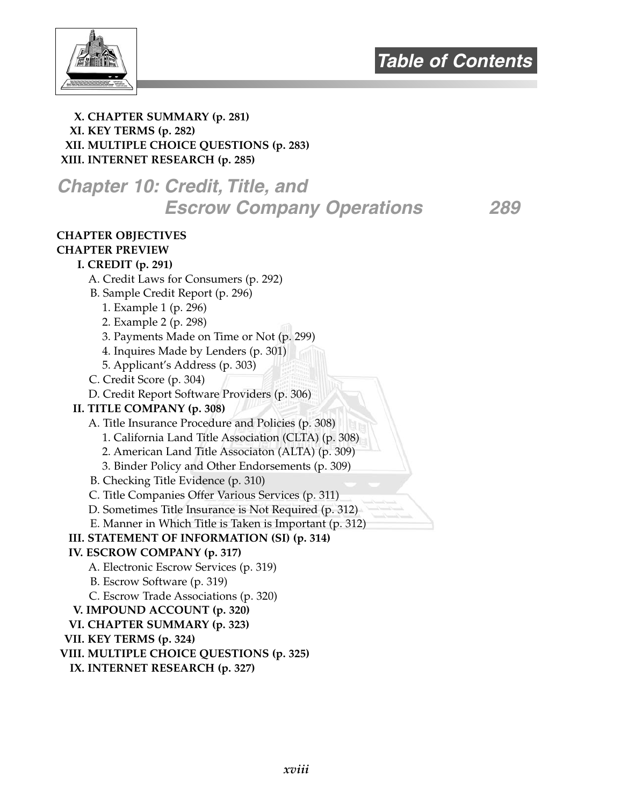

#### **X. CHAPTER SUMMARY (p. 281) XI. KEY TERMS (p. 282) XII. MULTIPLE CHOICE QUESTIONS (p. 283) XIII. INTERNET RESEARCH (p. 285)**

# **Chapter 10: Credit, Title, and Escrow Company Operations 289**

### **CHAPTER OBJECTIVES**

#### **CHAPTER PREVIEW I. CREDIT (p. 291)**

- A. Credit Laws for Consumers (p. 292)
- B. Sample Credit Report (p. 296)
	- 1. Example 1 (p. 296)
	- 2. Example 2 (p. 298)
	- 3. Payments Made on Time or Not (p. 299)
	- 4. Inquires Made by Lenders (p. 301)
	- 5. Applicant's Address (p. 303)
- C. Credit Score (p. 304)
- D. Credit Report Software Providers (p. 306)

#### **II. TITLE COMPANY (p. 308)**

- A. Title Insurance Procedure and Policies (p. 308)
	- 1. California Land Title Association (CLTA) (p. 308)
	- 2. American Land Title Associaton (ALTA) (p. 309)
	- 3. Binder Policy and Other Endorsements (p. 309)
- B. Checking Title Evidence (p. 310)
- C. Title Companies Offer Various Services (p. 311)
- D. Sometimes Title Insurance is Not Required (p. 312)
- E. Manner in Which Title is Taken is Important (p. 312)

#### **III. STATEMENT OF INFORMATION (SI) (p. 314)**

#### **IV. ESCROW COMPANY (p. 317)**

- A. Electronic Escrow Services (p. 319)
- B. Escrow Software (p. 319)
- C. Escrow Trade Associations (p. 320)
- **V. IMPOUND ACCOUNT (p. 320)**
- **VI. CHAPTER SUMMARY (p. 323)**

#### **VII. KEY TERMS (p. 324)**

- **VIII. MULTIPLE CHOICE QUESTIONS (p. 325)**
- **IX. INTERNET RESEARCH (p. 327)**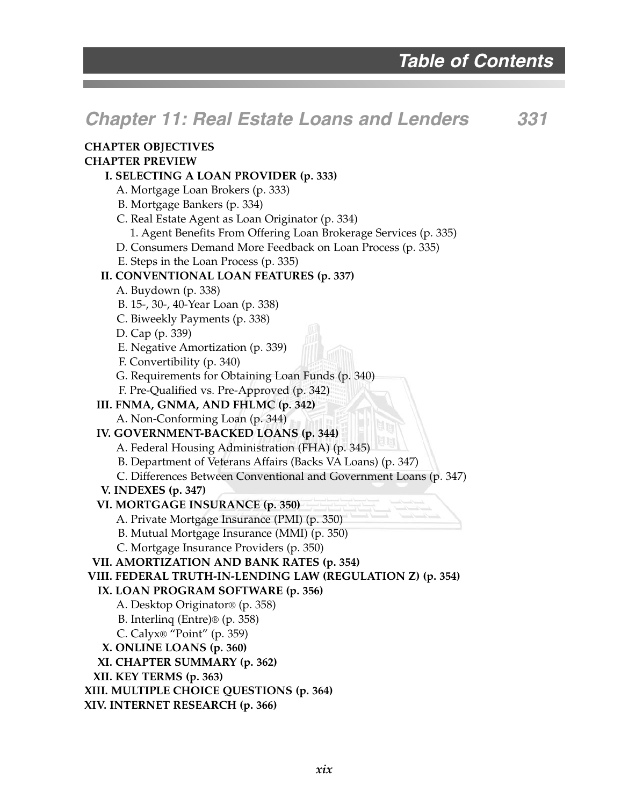# **Chapter 11: Real Estate Loans and Lenders 331**

#### **CHAPTER OBJECTIVES CHAPTER PREVIEW**

#### **I. SELECTING A LOAN PROVIDER (p. 333)**

- A. Mortgage Loan Brokers (p. 333)
- B. Mortgage Bankers (p. 334)

C. Real Estate Agent as Loan Originator (p. 334)

1. Agent Benefits From Offering Loan Brokerage Services (p. 335)

D. Consumers Demand More Feedback on Loan Process (p. 335)

E. Steps in the Loan Process (p. 335)

#### **II. CONVENTIONAL LOAN FEATURES (p. 337)**

- A. Buydown (p. 338)
- B. 15-, 30-, 40-Year Loan (p. 338)
- C. Biweekly Payments (p. 338)
- D. Cap (p. 339)
- E. Negative Amortization (p. 339)
- F. Convertibility (p. 340)
- G. Requirements for Obtaining Loan Funds (p. 340)
- F. Pre-Qualified vs. Pre-Approved (p. 342)

#### **III. FNMA, GNMA, AND FHLMC (p. 342)**

A. Non-Conforming Loan (p. 344)

- **IV. GOVERNMENT-BACKED LOANS (p. 344)**
	- A. Federal Housing Administration (FHA) (p. 345)
	- B. Department of Veterans Affairs (Backs VA Loans) (p. 347)
	- C. Differences Between Conventional and Government Loans (p. 347)
- **V. INDEXES (p. 347)**

#### **VI. MORTGAGE INSURANCE (p. 350)**

- A. Private Mortgage Insurance (PMI) (p. 350)
- B. Mutual Mortgage Insurance (MMI) (p. 350)
- C. Mortgage Insurance Providers (p. 350)

#### **VII. AMORTIZATION AND BANK RATES (p. 354)**

#### **VIII. FEDERAL TRUTH-IN-LENDING LAW (REGULATION Z) (p. 354)**

#### **IX. LOAN PROGRAM SOFTWARE (p. 356)**

- A. Desktop Originator® (p. 358)
- B. Interlinq (Entre)® (p. 358)
- C. Calyx® "Point" (p. 359)
- **X. ONLINE LOANS (p. 360)**
- **XI. CHAPTER SUMMARY (p. 362)**
- **XII. KEY TERMS (p. 363)**
- **XIII. MULTIPLE CHOICE QUESTIONS (p. 364)**
- **XIV. INTERNET RESEARCH (p. 366)**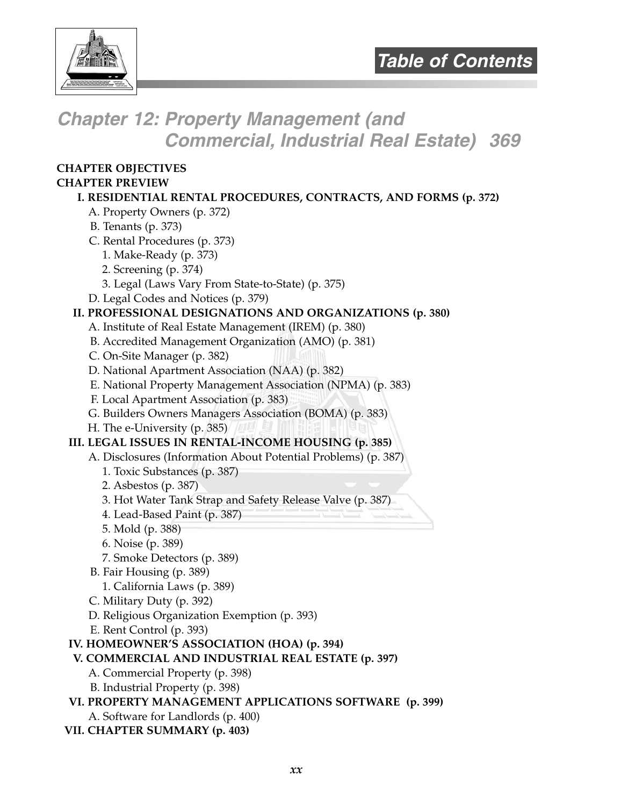

# **Chapter 12: Property Management (and Commercial, Industrial Real Estate) 369**

#### **CHAPTER OBJECTIVES CHAPTER PREVIEW**

#### **I. RESIDENTIAL RENTAL PROCEDURES, CONTRACTS, AND FORMS (p. 372)**

- A. Property Owners (p. 372)
- B. Tenants (p. 373)
- C. Rental Procedures (p. 373)
	- 1. Make-Ready (p. 373)
	- 2. Screening (p. 374)
	- 3. Legal (Laws Vary From State-to-State) (p. 375)
- D. Legal Codes and Notices (p. 379)

#### **II. PROFESSIONAL DESIGNATIONS AND ORGANIZATIONS (p. 380)**

- A. Institute of Real Estate Management (IREM) (p. 380)
- B. Accredited Management Organization (AMO) (p. 381)
- C. On-Site Manager (p. 382)
- D. National Apartment Association (NAA) (p. 382)
- E. National Property Management Association (NPMA) (p. 383)
- F. Local Apartment Association (p. 383)
- G. Builders Owners Managers Association (BOMA) (p. 383)
- H. The e-University (p. 385)

#### **III. LEGAL ISSUES IN RENTAL-INCOME HOUSING (p. 385)**

- A. Disclosures (Information About Potential Problems) (p. 387)
	- 1. Toxic Substances (p. 387)
	- 2. Asbestos (p. 387)
	- 3. Hot Water Tank Strap and Safety Release Valve (p. 387)
	- 4. Lead-Based Paint (p. 387)
	- 5. Mold (p. 388)
	- 6. Noise (p. 389)
	- 7. Smoke Detectors (p. 389)
- B. Fair Housing (p. 389)
	- 1. California Laws (p. 389)
- C. Military Duty (p. 392)
- D. Religious Organization Exemption (p. 393)
- E. Rent Control (p. 393)

#### **IV. HOMEOWNER'S ASSOCIATION (HOA) (p. 394)**

- **V. COMMERCIAL AND INDUSTRIAL REAL ESTATE (p. 397)**
	- A. Commercial Property (p. 398)
	- B. Industrial Property (p. 398)

#### **VI. PROPERTY MANAGEMENT APPLICATIONS SOFTWARE (p. 399)**

- A. Software for Landlords (p. 400)
- **VII. CHAPTER SUMMARY (p. 403)**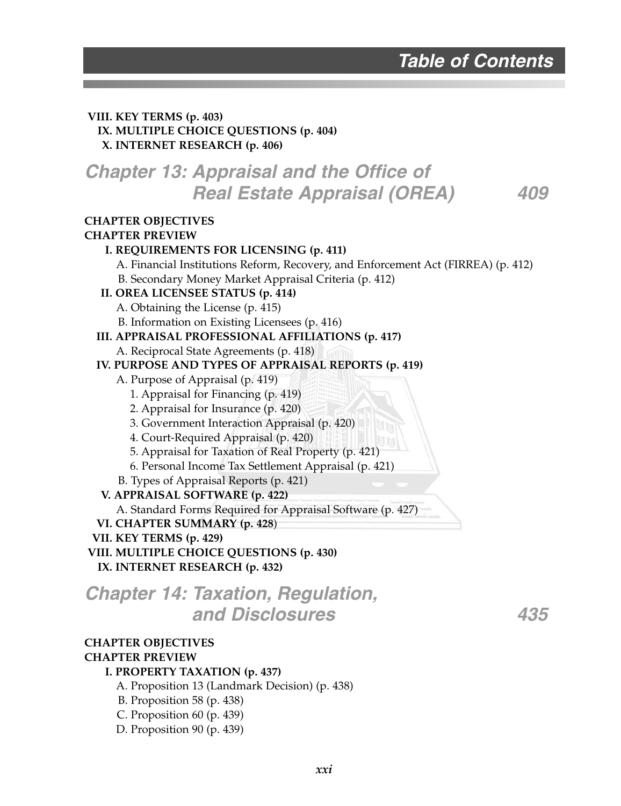#### **VIII. KEY TERMS (p. 403) IX. MULTIPLE CHOICE QUESTIONS (p. 404) X. INTERNET RESEARCH (p. 406)**

### **Chapter 13: Appraisal and the Office of Real Estate Appraisal (OREA) 409**

#### **CHAPTER OBJECTIVES**

#### **CHAPTER PREVIEW**

#### **I. REQUIREMENTS FOR LICENSING (p. 411)**

A. Financial Institutions Reform, Recovery, and Enforcement Act (FIRREA) (p. 412)

B. Secondary Money Market Appraisal Criteria (p. 412)

#### **II. OREA LICENSEE STATUS (p. 414)**

A. Obtaining the License (p. 415)

B. Information on Existing Licensees (p. 416)

#### **III. APPRAISAL PROFESSIONAL AFFILIATIONS (p. 417)**

A. Reciprocal State Agreements (p. 418)

#### **IV. PURPOSE AND TYPES OF APPRAISAL REPORTS (p. 419)**

- A. Purpose of Appraisal (p. 419)
	- 1. Appraisal for Financing (p. 419)
	- 2. Appraisal for Insurance (p. 420)
	- 3. Government Interaction Appraisal (p. 420)
	- 4. Court-Required Appraisal (p. 420)
	- 5. Appraisal for Taxation of Real Property (p. 421)
	- 6. Personal Income Tax Settlement Appraisal (p. 421)
- B. Types of Appraisal Reports (p. 421)
- **V. APPRAISAL SOFTWARE (p. 422)**

A. Standard Forms Required for Appraisal Software (p. 427)

**VI. CHAPTER SUMMARY (p. 428**)

#### **VII. KEY TERMS (p. 429)**

**VIII. MULTIPLE CHOICE QUESTIONS (p. 430) IX. INTERNET RESEARCH (p. 432)**

### **Chapter 14: Taxation, Regulation, and Disclosures 435**

### **CHAPTER OBJECTIVES**

#### **CHAPTER PREVIEW**

#### **I. PROPERTY TAXATION (p. 437)**

A. Proposition 13 (Landmark Decision) (p. 438)

- B. Proposition 58 (p. 438)
- C. Proposition 60 (p. 439)
- D. Proposition 90 (p. 439)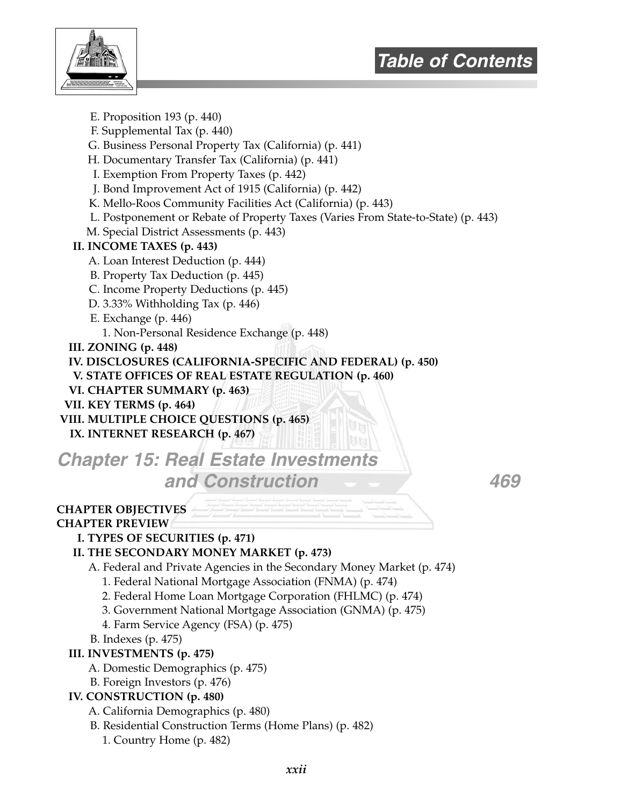



E. Proposition 193 (p. 440)

F. Supplemental Tax (p. 440)

G. Business Personal Property Tax (California) (p. 441)

H. Documentary Transfer Tax (California) (p. 441)

I. Exemption From Property Taxes (p. 442)

J. Bond Improvement Act of 1915 (California) (p. 442)

K. Mello-Roos Community Facilities Act (California) (p. 443)

L. Postponement or Rebate of Property Taxes (Varies From State-to-State) (p. 443)

M. Special District Assessments (p. 443)

#### **II. INCOME TAXES (p. 443)**

- A. Loan Interest Deduction (p. 444)
- B. Property Tax Deduction (p. 445)
- C. Income Property Deductions (p. 445)
- D. 3.33% Withholding Tax (p. 446)

E. Exchange (p. 446)

1. Non-Personal Residence Exchange (p. 448)

**III. ZONING (p. 448)**

**IV. DISCLOSURES (CALIFORNIA-SPECIFIC AND FEDERAL) (p. 450)**

**V. STATE OFFICES OF REAL ESTATE REGULATION (p. 460)**

- **VI. CHAPTER SUMMARY (p. 463)**
- **VII. KEY TERMS (p. 464)**

**VIII. MULTIPLE CHOICE QUESTIONS (p. 465)**

**IX. INTERNET RESEARCH (p. 467)**

**Chapter 15: Real Estate Investment and Construction 469**

#### **CHAPTER OBJECTIVES**

#### **CHAPTER PREVIEW**

#### **I. TYPES OF SECURITIES (p. 471)**

#### **II. THE SECONDARY MONEY MARKET (p. 473)**

- A. Federal and Private Agencies in the Secondary Money Market (p. 474)
	- 1. Federal National Mortgage Association (FNMA) (p. 474)
	- 2. Federal Home Loan Mortgage Corporation (FHLMC) (p. 474)
	- 3. Government National Mortgage Association (GNMA) (p. 475)
	- 4. Farm Service Agency (FSA) (p. 475)
- B. Indexes (p. 475)
- **III. INVESTMENTS (p. 475)**
	- A. Domestic Demographics (p. 475)
	- B. Foreign Investors (p. 476)

#### **IV. CONSTRUCTION (p. 480)**

A. California Demographics (p. 480)

B. Residential Construction Terms (Home Plans) (p. 482)

1. Country Home (p. 482)